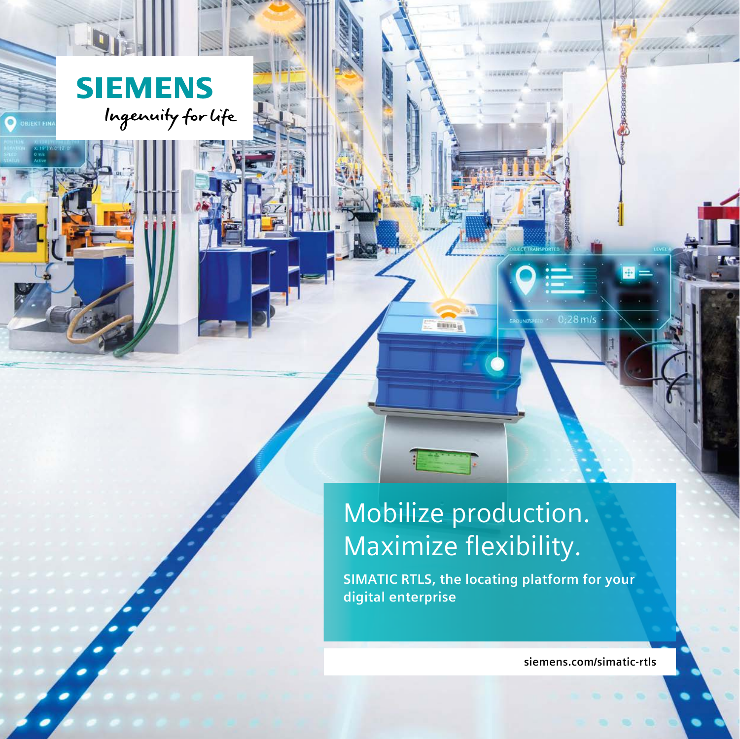

 $\bullet$ 

### Mobilize production. Maximize flexibility.

一面面

**TILERE** 

**SIMATIC RTLS, the locating platform for your digital enterprise**

**siemens.com/simatic-rtls**

14444444

 $8$  m/s

**JUDULIAN** VERBERG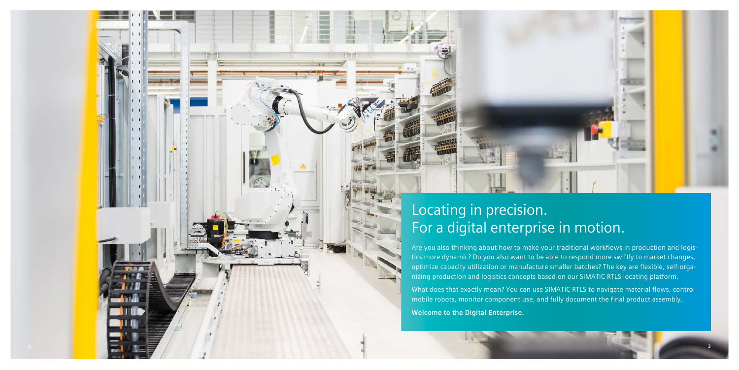### Locating in precision. For a digital enterprise in motion.

Are you also thinking about how to make your traditional workflows in production and logis tics more dynamic? Do you also want to be able to respond more swiftly to market changes, optimize capacity utilization or manufacture smaller batches? The key are flexible, self-orga nizing production and logistics concepts based on our SIMATIC RTLS locating platform.

What does that exactly mean? You can use SIMATIC RTLS to navigate material flows, control mobile robots, monitor component use, and fully document the final product assembly.

**Welcome to the Digital Enterprise.**

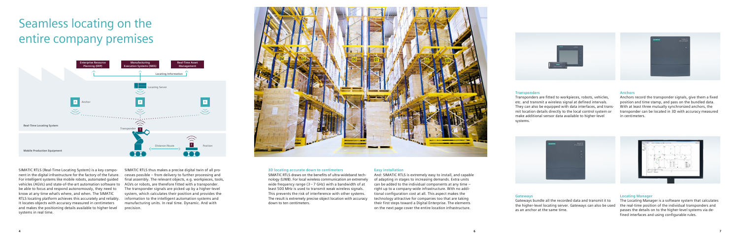#### **3D locating accurate down to centimeters**

SIMATIC RTLS draws on the benefits of ultra-wideband technology (UWB). For local wireless communication an extremely wide frequency range  $(3 - 7)$  GHz) with a bandwidth of at least 500 MHz is used to transmit weak wireless signals. This prevents the risk of interference with other systems. The result is extremely precise object location with accuracy down to ten centimeters.



#### **Easy installation**

And: SIMATIC RTLS is extremely easy to install, and capable of adapting in stages to increasing demands. Extra units can be added to the individual components at any time – right up to a company-wide infrastructure. With no additional configuration cost at all. This aspect makes the technology attractive for companies too that are taking their first steps toward a Digital Enterprise. The elements on the next page cover the entire location infrastructure.

#### **Transponders**

Transponders are fitted to workpieces, robots, vehicles, etc. and transmit a wireless signal at defined intervals. They can also be equipped with data interfaces, and transmit location details directly to the local control system or make additional sensor data available to higher-level systems.

#### **Gateways**

Gateways bundle all the recorded data and transmit it to the higher-level locating server. Gateways can also be used as an anchor at the same time.

#### **Anchors**

Anchors record the transponder signals, give them a fixed position and time stamp, and pass on the bundled data. With at least three mutually synchronized anchors, the transponder can be located in 3D with accuracy measured in centimeters.





#### **Locating Manager**

The Locating Manager is a software system that calculates the real-time position of the individual transponders and passes the details on to the higher-level systems via defined interfaces and using configurable rules.

# Seamless locating on the entire company premises

SIMATIC RTLS (Real-Time Locating System) is a key component in the digital infrastructure for the factory of the future. For intelligent systems like mobile robots, automated guided vehicles (AGVs) and state-of-the-art automation software to be able to focus and respond autonomously, they need to know at any time what's where, and when. The SIMATIC RTLS locating platform achieves this accurately and reliably. It locates objects with accuracy measured in centimeters and makes the positioning details available to higher-level systems in real time.

SIMATIC RTLS thus makes a precise digital twin of all processes possible – from delivery to further processing and final assembly. The relevant objects, e.g. workpieces, tools, AGVs or robots, are therefore fitted with a transponder. The transponder signals are picked up by a higher-level system, which calculates their position and provides the information to the intelligent automation systems and manufacturing units. In real time. Dynamic. And with precision.



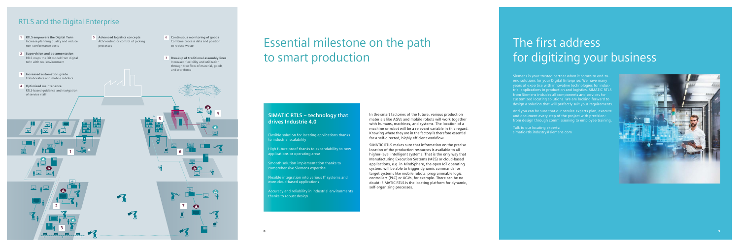# Essential milestone on the path to smart production

In the smart factories of the future, various production materials like AGVs and mobile robots will work together with humans, machines, and systems. The location of a machine or robot will be a relevant variable in this regard. Knowing where they are in the factory is therefore essential for a self-directed, highly efficient workflow. SIMATIC RTLS makes sure that information on the precise location of the production resources is available to all higher-level intelligent systems. That is the only way that Manufacturing Execution Systems (MES) or cloud-based applications, e.g. in MindSphere, the open IoT operating system, will be able to trigger dynamic commands for target systems like mobile robots, programmable logic controllers (PLC) or AGVs, for example. There can be no doubt: SIMATIC RTLS is the locating platform for dynamic, self-organizing processes.

#### **SIMATIC RTLS – technology that drives Industrie 4.0**

Flexible solution for locating applications thanks to industrial scalability

High future proof thanks to expandability to new applications or operating areas

Smooth solution implementation thanks to comprehensive Siemens expertise

Flexible integration into various IT systems and even cloud-based applications

Accuracy and reliability in industrial environments thanks to robust design

## The first address for digitizing your business

Siemens is your trusted partner when it comes to end-toend solutions for your Digital Enterprise. We have many years of expertise with innovative technologies for industrial applications in production and logistics. SIMATIC RTLS from Siemens includes all components and services for customized locating solutions. We are looking forward to design a solution that will perfectly suit your requirements.

And you can be sure that our service experts plan, execute and document every step of the project with precision: from design through commissioning to employee training.

Talk to our locating experts: simatic-rtls.industry@siemens.com



**!**

**!**

**!**

**!**

**! !**

**!**

**!**

- **1 RTLS empowers the Digital Twin** Increase planning quality and reduce non-conformance costs
- **2 Supervision and documentation** RTLS maps the 3D model from digital twin with real environment
- **3 Increased automation grade** Collaborative and mobile robotics
- **4 Optimized maintenance** RTLS-based guidance and navigation of service staff
- **5 Advanced logistics concepts** AGV routing or control of picking processes
- **6 Continuous monitoring of goods** Combine process data and position to reduce waste
- **7 Breakup of traditional assembly lines** Increased flexibility and utilization through free flow of material, goods, and workforce

### RTLS and the Digital Enterprise

**4**

**5**

**6**

**7**

**1**

**2**

**3**